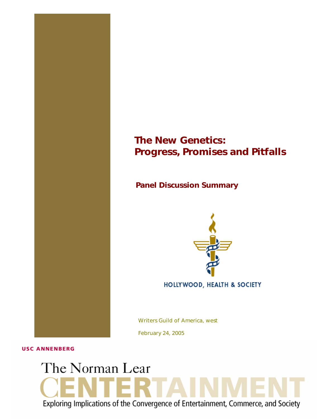## *The New Genetics: Progress, Promises and Pitfalls*

*Panel Discussion Summary* 



HOLLYWOOD, HEALTH & SOCIETY

Writers Guild of America, west

February 24, 2005

**USC ANNENBERG** 

# The Norman Lear Exploring Implications of the Convergence of Entertainment, Commerce, and Society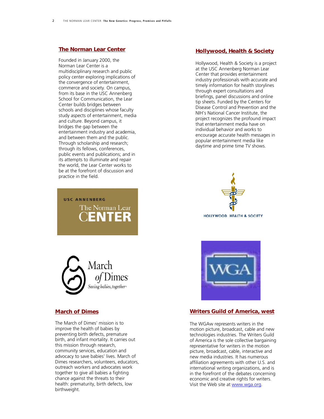## *[The Norman Lear Center](http://www.learcenter.org/)*

Founded in January 2000, the Norman Lear Center is a multidisciplinary research and public policy center exploring implications of the convergence of entertainment, commerce and society. On campus, from its base in the USC Annenberg School for Communication, the Lear Center builds bridges between schools and disciplines whose faculty study aspects of entertainment, media and culture. Beyond campus, it bridges the gap between the entertainment industry and academia, and between them and the public. Through scholarship and research; through its fellows, conferences, public events and publications; and in its attempts to illuminate and repair the world, the Lear Center works to be at the forefront of discussion and practice in the field.

## *[Hollywood, Health & Society](http://www.usc.edu/hhs)*

Hollywood, Health & Society is a project at the USC Annenberg Norman Lear Center that provides entertainment industry professionals with accurate and timely information for health storylines through expert consultations and briefings, panel discussions and online tip sheets. Funded by the Centers for Disease Control and Prevention and the NIH's National Cancer Institute, the project recognizes the profound impact that entertainment media have on individual behavior and works to encourage accurate health messages in popular entertainment media like daytime and prime time TV shows.





**USC ANNENBERG** 

The Norman Lear

## *[March of Dimes](http://www.marchofdimes.com/)*

The March of Dimes' mission is to improve the health of babies by preventing birth defects, premature birth, and infant mortality. It carries out this mission through research, community services, education and advocacy to save babies' lives. March of Dimes researchers, volunteers, educators, outreach workers and advocates work together to give all babies a fighting chance against the threats to their health: prematurity, birth defects, low birthweight.



## *[Writers Guild of America, west](http://www.wga.org/)*

The WGAw represents writers in the motion picture, broadcast, cable and new technologies industries. The Writers Guild of America is the sole collective bargaining representative for writers in the motion picture, broadcast, cable, interactive and new media industries. It has numerous affiliation agreements with other U.S. and international writing organizations, and is in the forefront of the debates concerning economic and creative rights for writers. Visit the Web site at [www.wga.org.](http://www.wga.org/)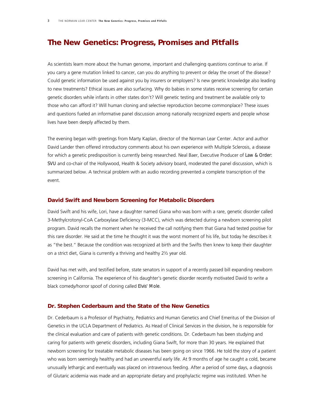## *The New Genetics: Progress, Promises and Pitfalls*

As scientists learn more about the human genome, important and challenging questions continue to arise. If you carry a gene mutation linked to cancer, can you do anything to prevent or delay the onset of the disease? Could genetic information be used against you by insurers or employers? Is new genetic knowledge also leading to new treatments? Ethical issues are also surfacing. Why do babies in some states receive screening for certain genetic disorders while infants in other states don't? Will genetic testing and treatment be available only to those who can afford it? Will human cloning and selective reproduction become commonplace? These issues and questions fueled an informative panel discussion among nationally recognized experts and people whose lives have been deeply affected by them.

The evening began with greetings from Marty Kaplan, director of the Norman Lear Center. Actor and author David Lander then offered introductory comments about his own experience with Multiple Sclerosis, a disease for which a genetic predisposition is currently being researched. Neal Baer, Executive Producer of *Law & Order: SVU* and co-chair of the Hollywood, Health & Society advisory board, moderated the panel discussion, which is summarized below. A technical problem with an audio recording prevented a complete transcription of the event.

## *David Swift and Newborn Screening for Metabolic Disorders*

David Swift and his wife, Lori, have a daughter named Giana who was born with a rare, genetic disorder called 3-Methylcrotonyl-CoA Carboxylase Deficiency (3-MCC), which was detected during a newborn screening pilot program. David recalls the moment when he received the call notifying them that Giana had tested positive for this rare disorder. He said at the time he thought it was the worst moment of his life, but today he describes it as "the best." Because the condition was recognized at birth and the Swifts then knew to keep their daughter on a strict diet, Giana is currently a thriving and healthy 2½ year old.

David has met with, and testified before, state senators in support of a recently passed bill expanding newborn screening in California. The experience of his daughter's genetic disorder recently motivated David to write a black comedy/horror spoof of cloning called *Elvis' Mole*.

## *Dr. Stephen Cederbaum and the State of the New Genetics*

Dr. Cederbaum is a Professor of Psychiatry, Pediatrics and Human Genetics and Chief Emeritus of the Division of Genetics in the UCLA Department of Pediatrics. As Head of Clinical Services in the division, he is responsible for the clinical evaluation and care of patients with genetic conditions. Dr. Cederbaum has been studying and caring for patients with genetic disorders, including Giana Swift, for more than 30 years. He explained that newborn screening for treatable metabolic diseases has been going on since 1966. He told the story of a patient who was born seemingly healthy and had an uneventful early life. At 9 months of age he caught a cold, became unusually lethargic and eventually was placed on intravenous feeding. After a period of some days, a diagnosis of Glutaric acidemia was made and an appropriate dietary and prophylactic regime was instituted. When he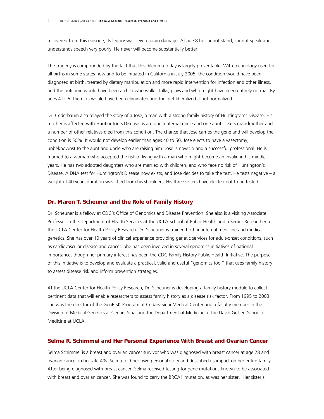recovered from this episode, its legacy was severe brain damage. At age 8 he cannot stand, cannot speak and understands speech very poorly. He never will become substantially better.

The tragedy is compounded by the fact that this dilemma today is largely preventable. With technology used for all births in some states now and to be initiated in California in July 2005, the condition would have been diagnosed at birth, treated by dietary manipulation and more rapid intervention for infection and other illness, and the outcome would have been a child who walks, talks, plays and who might have been entirely normal. By ages 4 to 5, the risks would have been eliminated and the diet liberalized if not normalized.

Dr. Cederbaum also relayed the story of a Jose, a man with a strong family history of Huntington's Disease. His mother is affected with Huntington's Disease as are one maternal uncle and one aunt. Jose's grandmother and a number of other relatives died from this condition. The chance that Jose carries the gene and will develop the condition is 50%. It would not develop earlier than ages 40 to 50. Jose elects to have a vasectomy, unbeknownst to the aunt and uncle who are raising him. Jose is now 55 and a successful professional. He is married to a woman who accepted the risk of living with a man who might become an invalid in his middle years. He has two adopted daughters who are married with children, and who face no risk of Huntington's Disease. A DNA test for Huntington's Disease now exists, and Jose decides to take the test. He tests negative – a weight of 40 years duration was lifted from his shoulders. His three sisters have elected not to be tested.

#### *Dr. Maren T. Scheuner and the Role of Family History*

Dr. Scheuner is a fellow at CDC's Office of Genomics and Disease Prevention. She also is a visiting Associate Professor in the Department of Health Services at the UCLA School of Public Health and a Senior Researcher at the UCLA Center for Health Policy Research. Dr. Scheuner is trained both in internal medicine and medical genetics. She has over 10 years of clinical experience providing genetic services for adult-onset conditions, such as cardiovascular disease and cancer. She has been involved in several genomics initiatives of national importance, though her primary interest has been the CDC Family History Public Health Initiative. The purpose of this initiative is to develop and evaluate a practical, valid and useful "genomics tool" that uses family history to assess disease risk and inform prevention strategies.

At the UCLA Center for Health Policy Research, Dr. Scheuner is developing a family history module to collect pertinent data that will enable researchers to assess family history as a disease risk factor. From 1995 to 2003 she was the director of the GenRISK Program at Cedars-Sinai Medical Center and a faculty member in the Division of Medical Genetics at Cedars-Sinai and the Department of Medicine at the David Geffen School of Medicine at UCLA.

## *Selma R. Schimmel and Her Personal Experience With Breast and Ovarian Cancer*

Selma Schimmel is a breast and ovarian cancer survivor who was diagnosed with breast cancer at age 28 and ovarian cancer in her late 40s. Selma told her own personal story and described its impact on her entire family. After being diagnosed with breast cancer, Selma received testing for gene mutations known to be associated with breast and ovarian cancer. She was found to carry the BRCA1 mutation, as was her sister. Her sister's